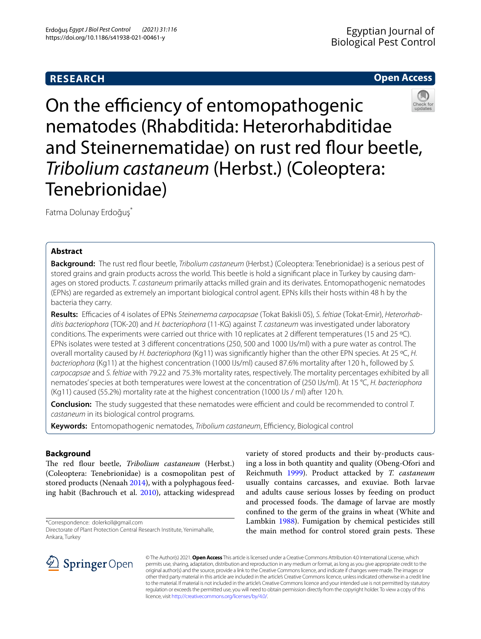# **RESEARCH**

## **Open Access**



On the efficiency of entomopathogenic nematodes (Rhabditida: Heterorhabditidae and Steinernematidae) on rust red flour beetle, *Tribolium castaneum* (Herbst.) (Coleoptera: Tenebrionidae)

Fatma Dolunay Erdoğuş\*

## **Abstract**

**Background:** The rust red four beetle, *Tribolium castaneum* (Herbst.) (Coleoptera: Tenebrionidae) is a serious pest of stored grains and grain products across the world. This beetle is hold a signifcant place in Turkey by causing damages on stored products. *T. castaneum* primarily attacks milled grain and its derivates. Entomopathogenic nematodes (EPNs) are regarded as extremely an important biological control agent. EPNs kills their hosts within 48 h by the bacteria they carry.

**Results:** Efcacies of 4 isolates of EPNs *Steinernema carpocapsae* (Tokat Bakisli 05), *S. feltiae* (Tokat-Emir), *Heterorhabditis bacteriophora* (TOK-20) and *H. bacteriophora* (11-KG) against *T. castaneum* was investigated under laboratory conditions. The experiments were carried out thrice with 10 replicates at 2 different temperatures (15 and 25 °C). EPNs isolates were tested at 3 diferent concentrations (250, 500 and 1000 IJs/ml) with a pure water as control. The overall mortality caused by *H. bacteriophora* (Kg11) was signifcantly higher than the other EPN species. At 25 ºC, *H. bacteriophora* (Kg11) at the highest concentration (1000 IJs/ml) caused 87.6% mortality after 120 h., followed by *S. carpocapsae* and *S. feltiae* with 79.22 and 75.3% mortality rates, respectively. The mortality percentages exhibited by all nematodes' species at both temperatures were lowest at the concentration of (250 IJs/ml). At 15 °C, *H. bacteriophora* (Kg11) caused (55.2%) mortality rate at the highest concentration (1000 IJs / ml) after 120 h.

**Conclusion:** The study suggested that these nematodes were efficient and could be recommended to control *T*. *castaneum* in its biological control programs.

Keywords: Entomopathogenic nematodes, *Tribolium castaneum*, Efficiency, Biological control

## **Background**

The red flour beetle, *Tribolium castaneum* (Herbst.) (Coleoptera: Tenebrionidae) is a cosmopolitan pest of stored products (Nenaah [2014](#page-4-0)), with a polyphagous feeding habit (Bachrouch et al. [2010](#page-3-0)), attacking widespread

\*Correspondence: dolerkoll@gmail.com

Directorate of Plant Protection Central Research Institute, Yenimahalle, Ankara, Turkey





© The Author(s) 2021. **Open Access** This article is licensed under a Creative Commons Attribution 4.0 International License, which permits use, sharing, adaptation, distribution and reproduction in any medium or format, as long as you give appropriate credit to the original author(s) and the source, provide a link to the Creative Commons licence, and indicate if changes were made. The images or other third party material in this article are included in the article's Creative Commons licence, unless indicated otherwise in a credit line to the material. If material is not included in the article's Creative Commons licence and your intended use is not permitted by statutory regulation or exceeds the permitted use, you will need to obtain permission directly from the copyright holder. To view a copy of this licence, visit [http://creativecommons.org/licenses/by/4.0/.](http://creativecommons.org/licenses/by/4.0/)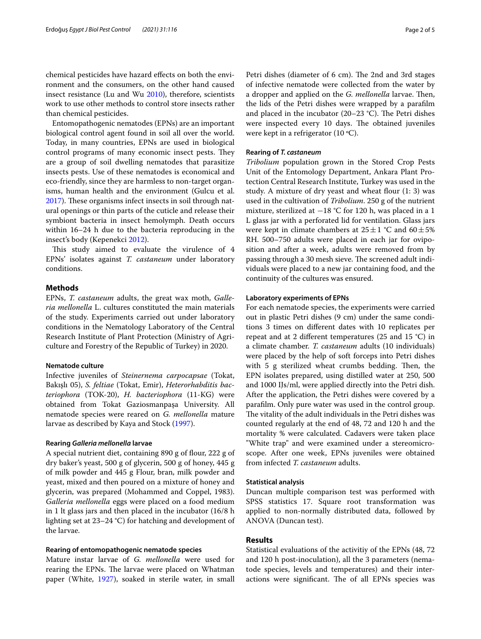chemical pesticides have hazard efects on both the environment and the consumers, on the other hand caused insect resistance (Lu and Wu [2010](#page-4-3)), therefore, scientists work to use other methods to control store insects rather than chemical pesticides.

Entomopathogenic nematodes (EPNs) are an important biological control agent found in soil all over the world. Today, in many countries, EPNs are used in biological control programs of many economic insect pests. They are a group of soil dwelling nematodes that parasitize insects pests. Use of these nematodes is economical and eco-friendly, since they are harmless to non-target organisms, human health and the environment (Gulcu et al. [2017](#page-3-1)). These organisms infect insects in soil through natural openings or thin parts of the cuticle and release their symbiont bacteria in insect hemolymph. Death occurs within 16–24 h due to the bacteria reproducing in the insect's body (Kepenekci [2012](#page-3-2)).

This study aimed to evaluate the virulence of 4 EPNs' isolates against *T. castaneum* under laboratory conditions.

## **Methods**

EPNs, *T. castaneum* adults, the great wax moth, *Galleria mellonella* L. cultures constituted the main materials of the study. Experiments carried out under laboratory conditions in the Nematology Laboratory of the Central Research Institute of Plant Protection (Ministry of Agriculture and Forestry of the Republic of Turkey) in 2020.

#### **Nematode culture**

Infective juveniles of *Steinernema carpocapsae* (Tokat, Bakışlı 05), *S. feltiae* (Tokat, Emir), *Heterorhabditis bacteriophora* (TOK-20), *H. bacteriophora* (11-KG) were obtained from Tokat Gaziosmanpaşa University. All nematode species were reared on *G. mellonella* mature larvae as described by Kaya and Stock [\(1997](#page-3-3)).

#### **Rearing** *Galleria mellonella* **larvae**

A special nutrient diet, containing 890 g of four, 222 g of dry baker's yeast, 500 g of glycerin, 500 g of honey, 445 g of milk powder and 445 g Flour, bran, milk powder and yeast, mixed and then poured on a mixture of honey and glycerin, was prepared (Mohammed and Coppel, 1983). *Galleria mellonella* eggs were placed on a food medium in 1 lt glass jars and then placed in the incubator (16/8 h lighting set at 23–24 °C) for hatching and development of the larvae.

## **Rearing of entomopathogenic nematode species**

Mature instar larvae of *G. mellonella* were used for rearing the EPNs. The larvae were placed on Whatman paper (White, [1927\)](#page-4-4), soaked in sterile water, in small Petri dishes (diameter of 6 cm). The 2nd and 3rd stages of infective nematode were collected from the water by a dropper and applied on the *G. mellonella* larvae. Then, the lids of the Petri dishes were wrapped by a paraflm and placed in the incubator (20–23 °C). The Petri dishes were inspected every 10 days. The obtained juveniles were kept in a refrigerator  $(10 \degree C)$ .

#### **Rearing of** *T. castaneum*

*Tribolium* population grown in the Stored Crop Pests Unit of the Entomology Department, Ankara Plant Protection Central Research Institute, Turkey was used in the study. A mixture of dry yeast and wheat flour  $(1: 3)$  was used in the cultivation of *Tribolium*. 250 g of the nutrient mixture, sterilized at −18 °C for 120 h, was placed in a 1 L glass jar with a perforated lid for ventilation. Glass jars were kept in climate chambers at  $25 \pm 1$  °C and  $60 \pm 5$ % RH. 500–750 adults were placed in each jar for oviposition and after a week, adults were removed from by passing through a 30 mesh sieve. The screened adult individuals were placed to a new jar containing food, and the continuity of the cultures was ensured.

#### **Laboratory experiments of EPNs**

For each nematode species, the experiments were carried out in plastic Petri dishes (9 cm) under the same conditions 3 times on diferent dates with 10 replicates per repeat and at 2 different temperatures (25 and 15 °C) in a climate chamber. *T. castaneum* adults (10 individuals) were placed by the help of soft forceps into Petri dishes with 5 g sterilized wheat crumbs bedding. Then, the EPN isolates prepared, using distilled water at 250, 500 and 1000 IJs/ml, were applied directly into the Petri dish. After the application, the Petri dishes were covered by a paraflm. Only pure water was used in the control group. The vitality of the adult individuals in the Petri dishes was counted regularly at the end of 48, 72 and 120 h and the mortality % were calculated. Cadavers were taken place "White trap" and were examined under a stereomicroscope. After one week, EPNs juveniles were obtained from infected *T. castaneum* adults.

### **Statistical analysis**

Duncan multiple comparison test was performed with SPSS statistics 17. Square root transformation was applied to non-normally distributed data, followed by ANOVA (Duncan test).

### **Results**

Statistical evaluations of the activitiy of the EPNs (48, 72 and 120 h post-inoculation), all the 3 parameters (nematode species, levels and temperatures) and their interactions were significant. The of all EPNs species was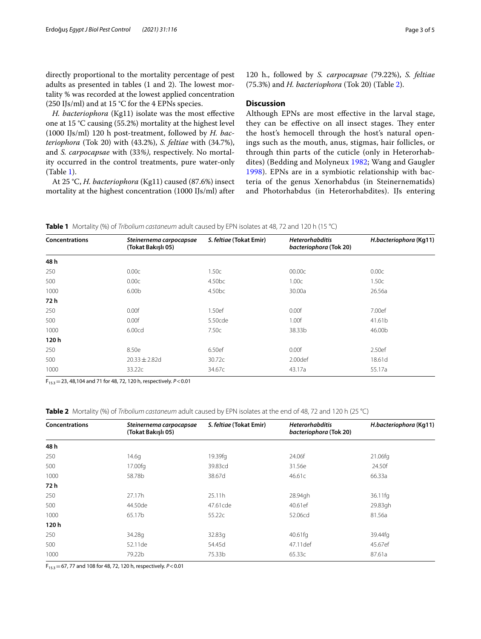directly proportional to the mortality percentage of pest adults as presented in tables  $(1 \text{ and } 2)$ . The lowest mortality % was recorded at the lowest applied concentration (250 IJs/ml) and at 15 °C for the 4 EPNs species.

*H. bacteriophora* (Kg11) isolate was the most efective one at 15 °C causing (55.2%) mortality at the highest level (1000 IJs/ml) 120 h post-treatment, followed by *H. bacteriophora* (Tok 20) with (43.2%), *S. feltiae* with (34.7%), and *S. carpocapsae* with (33*%)*, respectively. No mortality occurred in the control treatments, pure water-only (Table [1](#page-2-0)).

At 25 °C, *H. bacteriophora* (Kg11) caused (87.6%) insect mortality at the highest concentration (1000 IJs/ml) after 120 h., followed by *S. carpocapsae* (79.22%), *S. feltiae* (75.3%) and *H. bacteriophora* (Tok 20) (Table [2](#page-2-1)).

## **Discussion**

Although EPNs are most efective in the larval stage, they can be effective on all insect stages. They enter the host's hemocell through the host's natural openings such as the mouth, anus, stigmas, hair follicles, or through thin parts of the cuticle (only in Heterorhabdites) (Bedding and Molyneux [1982](#page-3-4); Wang and Gaugler [1998\)](#page-4-5). EPNs are in a symbiotic relationship with bacteria of the genus Xenorhabdus (in Steinernematids) and Photorhabdus (in Heterorhabdites). IJs entering

<span id="page-2-0"></span>

|  |  |  | <b>Table 1</b> Mortality (%) of Tribolium castaneum adult caused by EPN isolates at 48, 72 and 120 h (15 °C) |  |
|--|--|--|--------------------------------------------------------------------------------------------------------------|--|
|--|--|--|--------------------------------------------------------------------------------------------------------------|--|

| <b>Concentrations</b> | Steinernema carpocapsae<br>(Tokat Bakışlı 05) | S. feltiae (Tokat Emir) | <b>Heterorhabditis</b><br>bacteriophora (Tok 20) | H.bacteriophora (Kg11) |
|-----------------------|-----------------------------------------------|-------------------------|--------------------------------------------------|------------------------|
| 48 h                  |                                               |                         |                                                  |                        |
| 250                   | 0.00c                                         | 1.50c                   | 00.00c                                           | 0.00c                  |
| 500                   | 0.00c                                         | 4.50 <sub>bc</sub>      | 1.00c                                            | 1.50c                  |
| 1000                  | 6.00 <sub>b</sub>                             | 4.50bc                  | 30.00a                                           | 26.56a                 |
| 72 h                  |                                               |                         |                                                  |                        |
| 250                   | 0.00f                                         | 1.50ef                  | 0.00f                                            | 7.00ef                 |
| 500                   | 0.00f                                         | 5.50cde                 | 1.00f                                            | 41.61b                 |
| 1000                  | 6.00cd                                        | 7.50c                   | 38.33b                                           | 46.00b                 |
| 120h                  |                                               |                         |                                                  |                        |
| 250                   | 8.50e                                         | 6.50ef                  | 0.00f                                            | 2.50ef                 |
| 500                   | $20.33 \pm 2.82$ d                            | 30.72c                  | 2.00def                                          | 18.61d                 |
| 1000                  | 33.22c                                        | 34.67c                  | 43.17a                                           | 55.17a                 |

F15.3=23, 48,104 and 71 for 48, 72, 120 h, respectively. *P*<0.01

<span id="page-2-1"></span>**Table 2** Mortality (%) of *Tribolium castaneum* adult caused by EPN isolates at the end of 48, 72 and 120 h (25 °C)

| Concentrations | Steinernema carpocapsae<br>(Tokat Bakışlı 05) | S. feltiae (Tokat Emir) | <b>Heterorhabditis</b><br>bacteriophora (Tok 20) | H.bacteriophora (Kg11) |
|----------------|-----------------------------------------------|-------------------------|--------------------------------------------------|------------------------|
| 48 h           |                                               |                         |                                                  |                        |
| 250            | 14.6q                                         | 19.39fg                 | 24.06f                                           | 21.06fg                |
| 500            | 17.00fg                                       | 39.83cd                 | 31.56e                                           | 24.50f                 |
| 1000           | 58.78b                                        | 38.67d                  | 46.61c                                           | 66.33a                 |
| 72 h           |                                               |                         |                                                  |                        |
| 250            | 27.17h                                        | 25.11h                  | 28.94gh                                          | 36.11fg                |
| 500            | 44.50de                                       | 47.61cde                | 40.61ef                                          | 29.83gh                |
| 1000           | 65.17b                                        | 55.22c                  | 52.06cd                                          | 81.56a                 |
| 120h           |                                               |                         |                                                  |                        |
| 250            | 34.28g                                        | 32.83g                  | 40.61fg                                          | 39.44fg                |
| 500            | 52.11 de                                      | 54.45d                  | 47.11 def                                        | 45.67ef                |
| 1000           | 79.22b                                        | 75.33b                  | 65.33c                                           | 87.61a                 |

F15.3=67, 77 and 108 for 48, 72, 120 h, respectively. *P*<0.01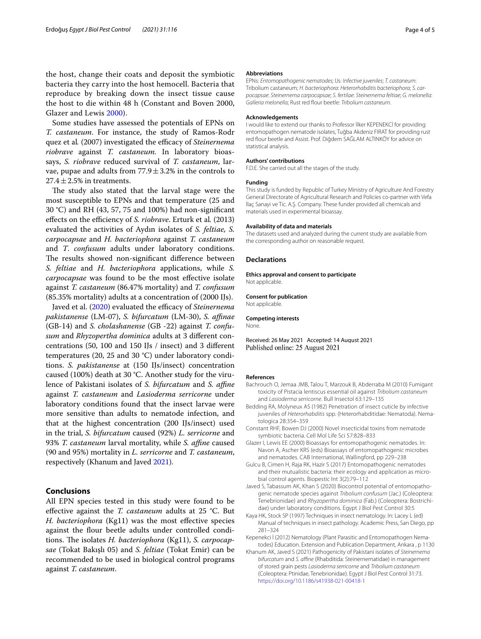the host, change their coats and deposit the symbiotic bacteria they carry into the host hemocell. Bacteria that reproduce by breaking down the insect tissue cause the host to die within 48 h (Constant and Boven 2000, Glazer and Lewis [2000](#page-3-5)).

Some studies have assessed the potentials of EPNs on *T. castaneum*. For instance, the study of Ramos-Rodr quez et al. (2007) investigated the efficacy of *Steinernema riobrave* against *T. castaneum.* In laboratory bioassays, *S. riobrave* reduced survival of *T. castaneum*, larvae, pupae and adults from  $77.9 \pm 3.2\%$  in the controls to  $27.4 \pm 2.5\%$  in treatments.

The study also stated that the larval stage were the most susceptible to EPNs and that temperature (25 and 30 °C) and RH (43, 57, 75 and 100%) had non-signifcant effects on the efficiency of *S. riobrave*. Erturk et al. (2013) evaluated the activities of Aydın isolates of *S. feltiae, S. carpocapsae* and *H. bacteriophora* against *T. castaneum* and *T*. *confusum* adults under laboratory conditions. The results showed non-significant difference between *S. feltiae* and *H. bacteriophora* applications, while *S. carpocapsae* was found to be the most efective isolate against *T. castaneum* (86.47% mortality) and *T. confusum* (85.35% mortality) adults at a concentration of (2000 IJs).

Javed et al. ([2020](#page-3-6)) evaluated the efficacy of *Steinernema pakistanense* (LM-07), *S. bifurcatum* (LM-30), *S. afnae* (GB-14) and *S. cholashanense* (GB -22) against *T. confusum* and *Rhyzopertha dominica* adults at 3 diferent concentrations (50, 100 and 150 IJs / insect) and 3 diferent temperatures (20, 25 and 30 °C) under laboratory conditions. *S. pakistanense* at (150 IJs/insect) concentration caused (100%) death at 30 °C. Another study for the virulence of Pakistani isolates of *S. bifurcatum* and *S. affine* against *T. castaneum* and *Lasioderma serricorne* under laboratory conditions found that the insect larvae were more sensitive than adults to nematode infection, and that at the highest concentration (200 IJs/insect) used in the trial, *S. bifurcatum* caused (92%) *L. serricorne* and 93% *T. castaneum* larval mortality, while *S. affine* caused (90 and 95%) mortality in *L. serricorne* and *T. castaneum*, respectively (Khanum and Javed [2021](#page-3-7)).

### **Conclusions**

All EPN species tested in this study were found to be efective against the *T. castaneum* adults at 25 °C. But *H. bacteriophora* (Kg11) was the most effective species against the flour beetle adults under controlled conditions. The isolates *H. bacteriophora* (Kg11), *S. carpocapsae* (Tokat Bakışlı 05) and *S. feltiae* (Tokat Emir) can be recommended to be used in biological control programs against *T. castaneum*.

#### **Abbreviations**

EPNs: *Entomopathogenic nematodes*; IJs: *Infective juveniles*; *T. castaneum*: Tribolium castaneum; *H. bacteriophora*: *Heterorhabditis bacteriophora*; *S. carpocapsae*: *Steinernema carpocapsae*; *S. fertilae*: *Steinernema feltiae*; *G. melonella*: *Galleria melonella*; Rust red four beetle: *Tribolium castaneum*.

#### **Acknowledgements**

I would like to extend our thanks to Professor İlker KEPENEKCİ for providing entomopathogen nematode isolates, Tuğba Akdeniz FIRAT for providing rust red four beetle and Assist. Prof. Diğdem SAĞLAM ALTINKÖY for advice on statistical analysis.

#### **Authors' contributions**

F.D.E. She carried out all the stages of the study.

#### **Funding**

This study is funded by Republıc of Turkey Ministry of Agriculture And Forestry General Directorate of Agricultural Research and Policies co-partner with Vefa İlaç Sanayi ve Tic. A.Ş. Company. These funder provided all chemicals and materials used in experimental bioassay.

#### **Availability of data and materials**

The datasets used and analyzed during the current study are available from the corresponding author on reasonable request.

#### **Declarations**

**Ethics approval and consent to participate** Not applicable.

**Consent for publication** Not applicable.

#### **Competing interests**

None.

Received: 26 May 2021 Accepted: 14 August 2021<br>Published online: 25 August 2021

#### **References**

- <span id="page-3-0"></span>Bachrouch O, Jemaa JMB, Talou T, Marzouk B, Abderraba M (2010) Fumigant toxicity of Pistacia lentiscus essential oil against *Tribolium castaneum* and *Lasioderma serricorne*. Bull Insectol 63:129–135
- <span id="page-3-4"></span>Bedding RA, Molyneux AS (1982) Penetration of insect cuticle by infective juveniles of *Heterorhabditis* spp. (Heterorhabditidae: Nematoda). Nematologica 28:354–359
- Constant RHF, Bowen DJ (2000) Novel insecticidal toxins from nematode symbiotic bacteria. Cell Mol Life Sci 57:828–833
- <span id="page-3-5"></span>Glazer I, Lewis EE (2000) Bioassays for entomopathogenic nematodes. In: Navon A, Ascher KRS (eds) Bioassays of entomopathogenic microbes and nematodes. CAB International, Wallingford, pp 229–238
- <span id="page-3-1"></span>Gulcu B, Cimen H, Raja RK, Hazir S (2017) Entomopathogenic nematodes and their mutualistic bacteria: their ecology and application as microbial control agents. Biopestic Int 3(2):79–112
- <span id="page-3-6"></span>Javed S, Tabassum AK, Khan S (2020) Biocontrol potential of entomopathogenic nematode species against *Tribolium confusum* (Jac.) (Coleoptera: Tenebrionidae) and *Rhyzopertha dominica* (Fab.) (Coleoptera: Bostrichidae) under laboratory conditions. Egypt J Biol Pest Control 30:5
- <span id="page-3-3"></span>Kaya HK, Stock SP (1997) Techniques in insect nematology. In: Lacey L (ed) Manual of techniques in insect pathology. Academic Press, San Diego, pp 281–324
- <span id="page-3-2"></span>Kepenekci İ (2012) Nematology (Plant Parasitic and Entomopathogen Nematodes) Education. Extension and Publication Department, Ankara , p 1130
- <span id="page-3-7"></span>Khanum AK, Javed S (2021) Pathogenicity of Pakistani isolates of *Steinernema bifurcatum* and *S. afne* (Rhabditida: Steinernematidae) in management of stored grain pests *Lasioderma serricorne* and *Tribolium castaneum* (Coleoptera: Ptinidae, Tenebrionidae). Egypt J Biol Pest Control 31:73. <https://doi.org/10.1186/s41938-021-00418-1>